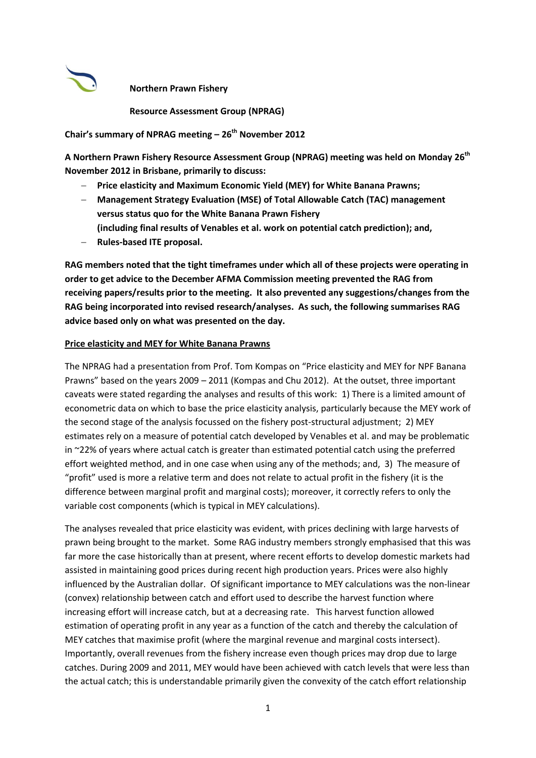

**Northern Prawn Fishery** 

**Resource Assessment Group (NPRAG)**

**Chair's summary of NPRAG meeting – 26th November 2012**

**A Northern Prawn Fishery Resource Assessment Group (NPRAG) meeting was held on Monday 26th November 2012 in Brisbane, primarily to discuss:**

- **Price elasticity and Maximum Economic Yield (MEY) for White Banana Prawns;**
- **Management Strategy Evaluation (MSE) of Total Allowable Catch (TAC) management versus status quo for the White Banana Prawn Fishery (including final results of Venables et al. work on potential catch prediction); and,**
- **Rules-based ITE proposal.**

**RAG members noted that the tight timeframes under which all of these projects were operating in order to get advice to the December AFMA Commission meeting prevented the RAG from receiving papers/results prior to the meeting. It also prevented any suggestions/changes from the RAG being incorporated into revised research/analyses. As such, the following summarises RAG advice based only on what was presented on the day.** 

#### **Price elasticity and MEY for White Banana Prawns**

The NPRAG had a presentation from Prof. Tom Kompas on "Price elasticity and MEY for NPF Banana Prawns" based on the years 2009 – 2011 (Kompas and Chu 2012). At the outset, three important caveats were stated regarding the analyses and results of this work: 1) There is a limited amount of econometric data on which to base the price elasticity analysis, particularly because the MEY work of the second stage of the analysis focussed on the fishery post-structural adjustment; 2) MEY estimates rely on a measure of potential catch developed by Venables et al. and may be problematic in ~22% of years where actual catch is greater than estimated potential catch using the preferred effort weighted method, and in one case when using any of the methods; and, 3) The measure of "profit" used is more a relative term and does not relate to actual profit in the fishery (it is the difference between marginal profit and marginal costs); moreover, it correctly refers to only the variable cost components (which is typical in MEY calculations).

The analyses revealed that price elasticity was evident, with prices declining with large harvests of prawn being brought to the market. Some RAG industry members strongly emphasised that this was far more the case historically than at present, where recent efforts to develop domestic markets had assisted in maintaining good prices during recent high production years. Prices were also highly influenced by the Australian dollar. Of significant importance to MEY calculations was the non-linear (convex) relationship between catch and effort used to describe the harvest function where increasing effort will increase catch, but at a decreasing rate. This harvest function allowed estimation of operating profit in any year as a function of the catch and thereby the calculation of MEY catches that maximise profit (where the marginal revenue and marginal costs intersect). Importantly, overall revenues from the fishery increase even though prices may drop due to large catches. During 2009 and 2011, MEY would have been achieved with catch levels that were less than the actual catch; this is understandable primarily given the convexity of the catch effort relationship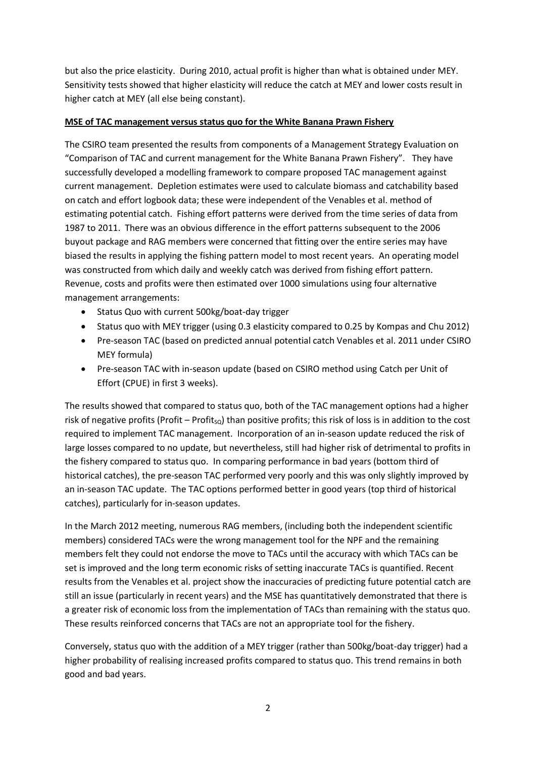but also the price elasticity. During 2010, actual profit is higher than what is obtained under MEY. Sensitivity tests showed that higher elasticity will reduce the catch at MEY and lower costs result in higher catch at MEY (all else being constant).

# **MSE of TAC management versus status quo for the White Banana Prawn Fishery**

The CSIRO team presented the results from components of a Management Strategy Evaluation on "Comparison of TAC and current management for the White Banana Prawn Fishery". They have successfully developed a modelling framework to compare proposed TAC management against current management. Depletion estimates were used to calculate biomass and catchability based on catch and effort logbook data; these were independent of the Venables et al. method of estimating potential catch. Fishing effort patterns were derived from the time series of data from 1987 to 2011. There was an obvious difference in the effort patterns subsequent to the 2006 buyout package and RAG members were concerned that fitting over the entire series may have biased the results in applying the fishing pattern model to most recent years. An operating model was constructed from which daily and weekly catch was derived from fishing effort pattern. Revenue, costs and profits were then estimated over 1000 simulations using four alternative management arrangements:

- Status Quo with current 500kg/boat-day trigger
- Status quo with MEY trigger (using 0.3 elasticity compared to 0.25 by Kompas and Chu 2012)
- Pre-season TAC (based on predicted annual potential catch Venables et al. 2011 under CSIRO MEY formula)
- Pre-season TAC with in-season update (based on CSIRO method using Catch per Unit of Effort (CPUE) in first 3 weeks).

The results showed that compared to status quo, both of the TAC management options had a higher risk of negative profits (Profit – Profit<sub>so</sub>) than positive profits; this risk of loss is in addition to the cost required to implement TAC management. Incorporation of an in-season update reduced the risk of large losses compared to no update, but nevertheless, still had higher risk of detrimental to profits in the fishery compared to status quo. In comparing performance in bad years (bottom third of historical catches), the pre-season TAC performed very poorly and this was only slightly improved by an in-season TAC update. The TAC options performed better in good years (top third of historical catches), particularly for in-season updates.

In the March 2012 meeting, numerous RAG members, (including both the independent scientific members) considered TACs were the wrong management tool for the NPF and the remaining members felt they could not endorse the move to TACs until the accuracy with which TACs can be set is improved and the long term economic risks of setting inaccurate TACs is quantified. Recent results from the Venables et al. project show the inaccuracies of predicting future potential catch are still an issue (particularly in recent years) and the MSE has quantitatively demonstrated that there is a greater risk of economic loss from the implementation of TACs than remaining with the status quo. These results reinforced concerns that TACs are not an appropriate tool for the fishery.

Conversely, status quo with the addition of a MEY trigger (rather than 500kg/boat-day trigger) had a higher probability of realising increased profits compared to status quo. This trend remains in both good and bad years.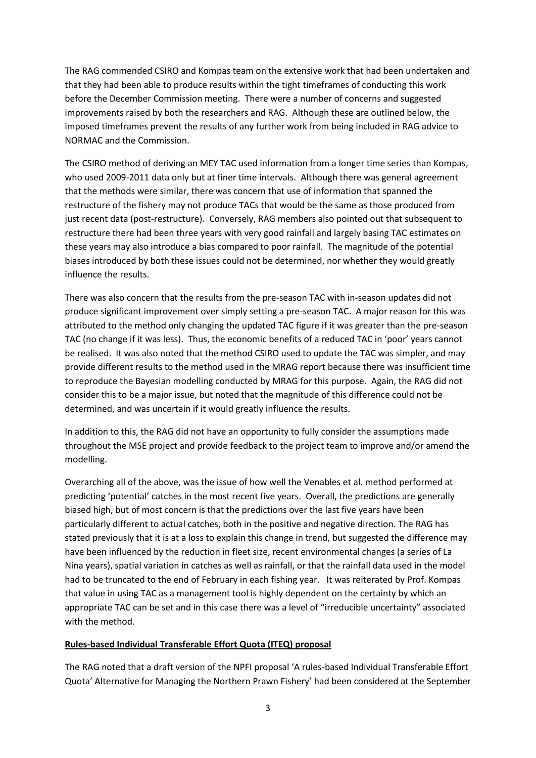The RAG commended CSIRO and Kompas team on the extensive work that had been undertaken and that they had been able to produce results within the tight timeframes of conducting this work before the December Commission meeting. There were a number of concerns and suggested improvements raised by both the researchers and RAG. Although these are outlined below, the imposed timeframes prevent the results of any further work from being included in RAG advice to NORMAC and the Commission.

The CSIRO method of deriving an MEY TAC used information from a longer time series than Kompas, who used 2009-2011 data only but at finer time intervals. Although there was general agreement that the methods were similar, there was concern that use of information that spanned the restructure of the fishery may not produce TACs that would be the same as those produced from just recent data (post-restructure). Conversely, RAG members also pointed out that subsequent to restructure there had been three years with very good rainfall and largely basing TAC estimates on these years may also introduce a bias compared to poor rainfall. The magnitude of the potential biases introduced by both these issues could not be determined, nor whether they would greatly influence the results.

There was also concern that the results from the pre-season TAC with in-season updates did not produce significant improvement over simply setting a pre-season TAC. A major reason for this was attributed to the method only changing the updated TAC figure if it was greater than the pre-season TAC (no change if it was less). Thus, the economic benefits of a reduced TAC in 'poor' years cannot be realised. It was also noted that the method CSIRO used to update the TAC was simpler, and may provide different results to the method used in the MRAG report because there was insufficient time to reproduce the Bayesian modelling conducted by MRAG for this purpose. Again, the RAG did not consider this to be a major issue, but noted that the magnitude of this difference could not be determined, and was uncertain if it would greatly influence the results.

In addition to this, the RAG did not have an opportunity to fully consider the assumptions made throughout the MSE project and provide feedback to the project team to improve and/or amend the modelling.

Overarching all of the above, was the issue of how well the Venables et al. method performed at predicting 'potential' catches in the most recent five years. Overall, the predictions are generally biased high, but of most concern is that the predictions over the last five years have been particularly different to actual catches, both in the positive and negative direction. The RAG has stated previously that it is at a loss to explain this change in trend, but suggested the difference may have been influenced by the reduction in fleet size, recent environmental changes (a series of La Nina years), spatial variation in catches as well as rainfall, or that the rainfall data used in the model had to be truncated to the end of February in each fishing year. It was reiterated by Prof. Kompas that value in using TAC as a management tool is highly dependent on the certainty by which an appropriate TAC can be set and in this case there was a level of "irreducible uncertainty" associated with the method.

### **Rules-based Individual Transferable Effort Quota (ITEQ) proposal**

The RAG noted that a draft version of the NPFI proposal 'A rules-based Individual Transferable Effort Quota' Alternative for Managing the Northern Prawn Fishery' had been considered at the September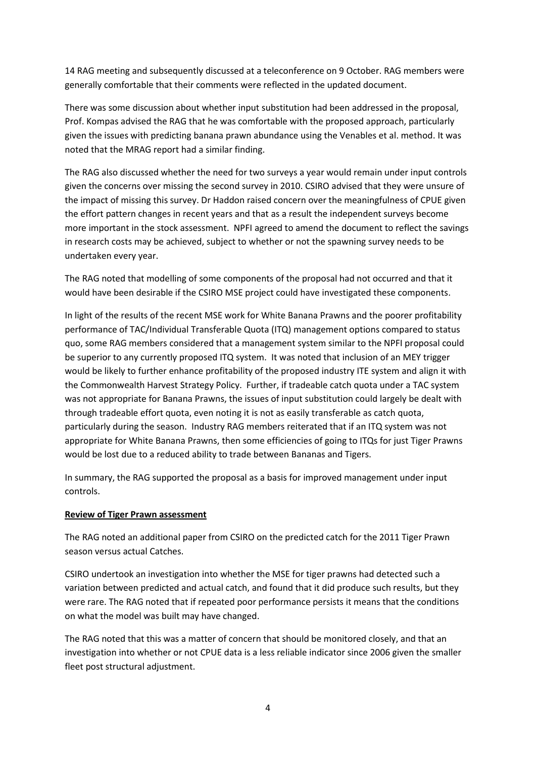14 RAG meeting and subsequently discussed at a teleconference on 9 October. RAG members were generally comfortable that their comments were reflected in the updated document.

There was some discussion about whether input substitution had been addressed in the proposal, Prof. Kompas advised the RAG that he was comfortable with the proposed approach, particularly given the issues with predicting banana prawn abundance using the Venables et al. method. It was noted that the MRAG report had a similar finding.

The RAG also discussed whether the need for two surveys a year would remain under input controls given the concerns over missing the second survey in 2010. CSIRO advised that they were unsure of the impact of missing this survey. Dr Haddon raised concern over the meaningfulness of CPUE given the effort pattern changes in recent years and that as a result the independent surveys become more important in the stock assessment. NPFI agreed to amend the document to reflect the savings in research costs may be achieved, subject to whether or not the spawning survey needs to be undertaken every year.

The RAG noted that modelling of some components of the proposal had not occurred and that it would have been desirable if the CSIRO MSE project could have investigated these components.

In light of the results of the recent MSE work for White Banana Prawns and the poorer profitability performance of TAC/Individual Transferable Quota (ITQ) management options compared to status quo, some RAG members considered that a management system similar to the NPFI proposal could be superior to any currently proposed ITQ system. It was noted that inclusion of an MEY trigger would be likely to further enhance profitability of the proposed industry ITE system and align it with the Commonwealth Harvest Strategy Policy. Further, if tradeable catch quota under a TAC system was not appropriate for Banana Prawns, the issues of input substitution could largely be dealt with through tradeable effort quota, even noting it is not as easily transferable as catch quota, particularly during the season. Industry RAG members reiterated that if an ITQ system was not appropriate for White Banana Prawns, then some efficiencies of going to ITQs for just Tiger Prawns would be lost due to a reduced ability to trade between Bananas and Tigers.

In summary, the RAG supported the proposal as a basis for improved management under input controls.

### **Review of Tiger Prawn assessment**

The RAG noted an additional paper from CSIRO on the predicted catch for the 2011 Tiger Prawn season versus actual Catches.

CSIRO undertook an investigation into whether the MSE for tiger prawns had detected such a variation between predicted and actual catch, and found that it did produce such results, but they were rare. The RAG noted that if repeated poor performance persists it means that the conditions on what the model was built may have changed.

The RAG noted that this was a matter of concern that should be monitored closely, and that an investigation into whether or not CPUE data is a less reliable indicator since 2006 given the smaller fleet post structural adjustment.